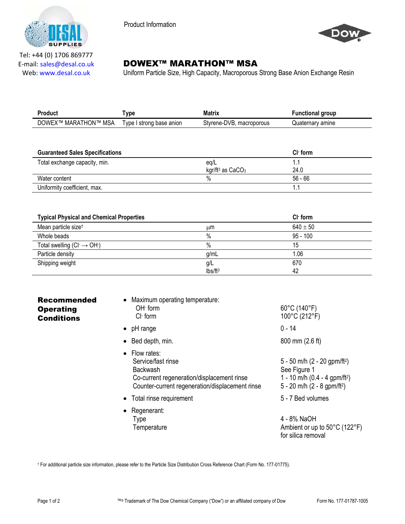

Product Information



Tel: +44 (0) 1706 869777 E‐mail: sales@desal.co.uk Web: www.desal.co.uk

# **DOWEX™ MARATHON™ MSA**

Uniform Particle Size, High Capacity, Macroporous Strong Base Anion Exchange Resin

| Product              | <b>ype</b>               | <b>Matrix</b>                 | <b>Functional group</b> |
|----------------------|--------------------------|-------------------------------|-------------------------|
| DOWEX™ MARATHON™ MSA | Type I strong base anion | Styrene-DVB.<br>. macroporous | Quaternarv amine        |
|                      |                          |                               |                         |

| <b>Guaranteed Sales Specifications</b> |                                | $ClT$ form |  |
|----------------------------------------|--------------------------------|------------|--|
| Total exchange capacity, min.          | eg/L                           |            |  |
|                                        | kgr/ft <sup>3</sup> as $CaCO3$ | 24.0       |  |
| Water content                          | %                              | $56 - 66$  |  |
| Uniformity coefficient, max.           |                                |            |  |

| <b>Typical Physical and Chemical Properties</b> |                     | $ClT$ form   |
|-------------------------------------------------|---------------------|--------------|
| Mean particle size <sup>t</sup>                 | μm                  | $640 \pm 50$ |
| Whole beads                                     | %                   | $95 - 100$   |
| Total swelling $(Cl \rightarrow OH)$            | %                   | 15           |
| Particle density                                | g/mL                | 1.06         |
| Shipping weight                                 | g/L                 | 670          |
|                                                 | Ibs/ft <sup>3</sup> | 42           |

| <b>Recommended</b><br><b>Operating</b><br><b>Conditions</b> | • Maximum operating temperature:<br>$OH1$ form<br>$Cl-$ form                                                                                                    | 60°C (140°F)<br>100°C (212°F)                                                                                                                        |
|-------------------------------------------------------------|-----------------------------------------------------------------------------------------------------------------------------------------------------------------|------------------------------------------------------------------------------------------------------------------------------------------------------|
|                                                             | $\bullet$ pH range                                                                                                                                              | $0 - 14$                                                                                                                                             |
|                                                             | • Bed depth, min.                                                                                                                                               | 800 mm (2.6 ft)                                                                                                                                      |
|                                                             | $\bullet$ Flow rates:<br>Service/fast rinse<br><b>Backwash</b><br>Co-current regeneration/displacement rinse<br>Counter-current regeneration/displacement rinse | 5 - 50 m/h $(2 - 20$ gpm/ft <sup>2</sup> )<br>See Figure 1<br>1 - 10 m/h (0.4 - 4 gpm/ft <sup>2</sup> )<br>5 - 20 m/h $(2 - 8$ gpm/ft <sup>2</sup> ) |
|                                                             | • Total rinse requirement                                                                                                                                       | 5 - 7 Bed volumes                                                                                                                                    |
|                                                             | • Regenerant:<br>Type                                                                                                                                           | 4 - 8% NaOH                                                                                                                                          |

Ambient or up to 50°C (122°F) for silica removal

† For additional particle size information, please refer to the Particle Size Distribution Cross Reference Chart (Form No. 177-01775).

**Temperature**